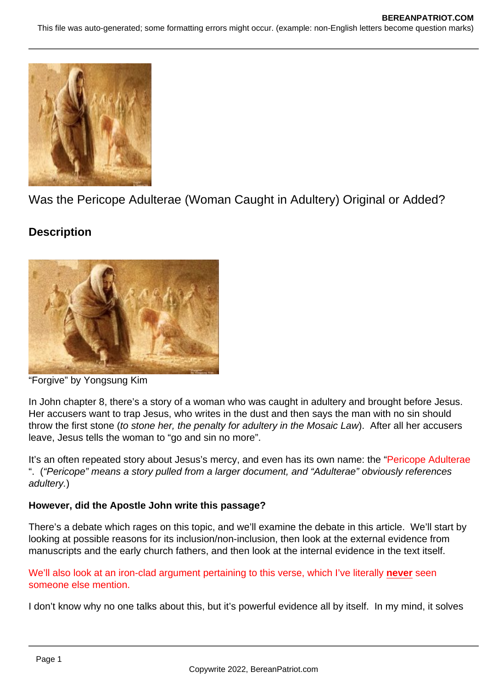

Was the Pericope Adulterae (Woman Caught in Adultery) Original or Added?

# **Description**



"Forgive" by Yongsung Kim

In John chapter 8, there's a story of a woman who was caught in adultery and brought before Jesus. Her accusers want to trap Jesus, who writes in the dust and then says the man with no sin should throw the first stone (to stone her, the penalty for adultery in the Mosaic Law). After all her accusers leave, Jesus tells the woman to "go and sin no more".

It's an often repeated story about Jesus's mercy, and even has its own name: the "Pericope Adulterae" ". ("Pericope" means a story pulled from a larger document, and "Adulterae" obviously references adultery.)

# **However, did the Apostle John write this passage?**

There's a debate which rages on this topic, and we'll examine the debate in this article. We'll start by looking at possible reasons for its inclusion/non-inclusion, then look at the external evidence from manuscripts and the early church fathers, and then look at the internal evidence in the text itself.

We'll also look at an iron-clad argument pertaining to this verse, which I've literally **never** seen someone else mention.

I don't know why no one talks about this, but it's powerful evidence all by itself. In my mind, it solves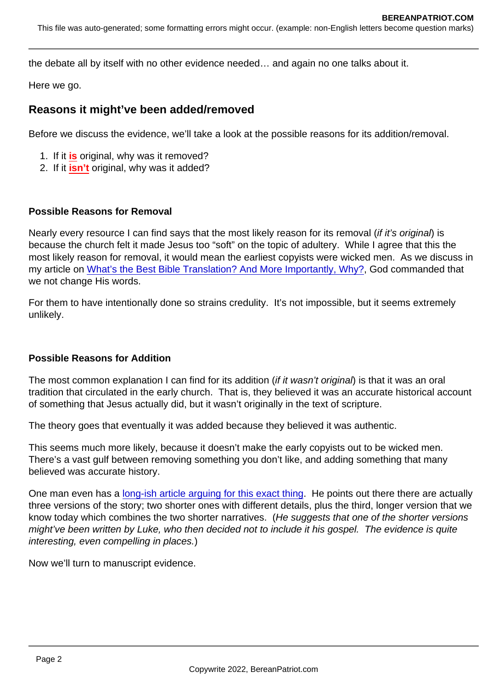the debate all by itself with no other evidence needed… and again no one talks about it.

Here we go.

## Reasons it might've been added/removed

Before we discuss the evidence, we'll take a look at the possible reasons for its addition/removal.

- 1. If it is original, why was it removed?
- 2. If it isn't original, why was it added?

#### Possible Reasons for Removal

Nearly every resource I can find says that the most likely reason for its removal (if it's original) is because the church felt it made Jesus too "soft" on the topic of adultery. While I agree that this the most likely reason for removal, it would mean the earliest copyists were wicked men. As we discuss in my article on [What's the Best Bible Translation? And More Importantly, Why?](https://www.bereanpatriot.com/whats-the-best-bible-translation-and-more-importantly-why/), God commanded that we not change His words.

For them to have intentionally done so strains credulity. It's not impossible, but it seems extremely unlikely.

## Possible Reasons for Addition

The most common explanation I can find for its addition (if it wasn't original) is that it was an oral tradition that circulated in the early church. That is, they believed it was an accurate historical account of something that Jesus actually did, but it wasn't originally in the text of scripture.

The theory goes that eventually it was added because they believed it was authentic.

This seems much more likely, because it doesn't make the early copyists out to be wicked men. There's a vast gulf between removing something you don't like, and adding something that many believed was accurate history.

One man even has a [long-ish article arguing for this exact thing](https://citylightseattle.com/blog/did-john-write-the-story-of-the-woman-caught-in-adultery/). He points out there there are actually three versions of the story; two shorter ones with different details, plus the third, longer version that we know today which combines the two shorter narratives. (He suggests that one of the shorter versions might've been written by Luke, who then decided not to include it his gospel. The evidence is quite interesting, even compelling in places.)

Now we'll turn to manuscript evidence.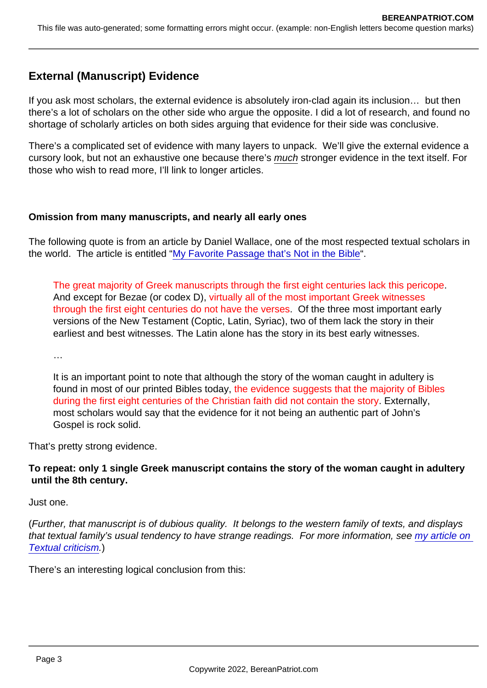# External (Manuscript) Evidence

If you ask most scholars, the external evidence is absolutely iron-clad again its inclusion… but then there's a lot of scholars on the other side who argue the opposite. I did a lot of research, and found no shortage of scholarly articles on both sides arguing that evidence for their side was conclusive.

There's a complicated set of evidence with many layers to unpack. We'll give the external evidence a cursory look, but not an exhaustive one because there's much stronger evidence in the text itself. For those who wish to read more, I'll link to longer articles.

Omission from many manuscripts, and nearly all early ones

The following quote is from an article by Daniel Wallace, one of the most respected textual scholars in the world. The article is entitled ["My Favorite Passage that's Not in the Bible](https://bible.org/article/my-favorite-passage-thats-not-bible)".

The great majority of Greek manuscripts through the first eight centuries lack this pericope. And except for Bezae (or codex D), virtually all of the most important Greek witnesses through the first eight centuries do not have the verses. Of the three most important early versions of the New Testament (Coptic, Latin, Syriac), two of them lack the story in their earliest and best witnesses. The Latin alone has the story in its best early witnesses.

…

It is an important point to note that although the story of the woman caught in adultery is found in most of our printed Bibles today, the evidence suggests that the majority of Bibles during the first eight centuries of the Christian faith did not contain the story. Externally, most scholars would say that the evidence for it not being an authentic part of John's Gospel is rock solid.

That's pretty strong evidence.

To repeat: only 1 single Greek manuscript contains the story of the woman caught in adultery until the 8th century .

Just one.

(Further, that manuscript is of dubious quality. It belongs to the western family of texts, and displays that textual family's usual tendency to have strange readings. For more information, see my article on [Textual criticism](https://www.bereanpatriot.com/majority-text-vs-critical-text-vs-textus-receptus-textual-criticism-101/).)

There's an interesting logical conclusion from this: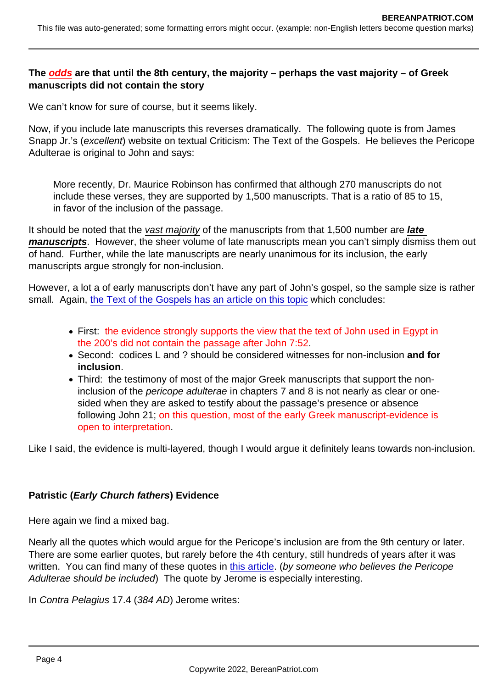The odds are that until the 8th century, the majority – perhaps the vast majority – of Greek manuscripts did not contain the story

We can't know for sure of course, but it seems likely.

Now, if you include late manuscripts this reverses dramatically. The following quote is from James Snapp Jr.'s (excellent) website on textual Criticism: The Text of the Gospels. He believes the Pericope Adulterae is original to John and says:

More recently, Dr. Maurice Robinson has confirmed that although 270 manuscripts do not include these verses, they are supported by 1,500 manuscripts. That is a ratio of 85 to 15, in favor of the inclusion of the passage.

It should be noted that the vast majority of the manuscripts from that 1,500 number are late manuscripts . However, the sheer volume of late manuscripts mean you can't simply dismiss them out of hand. Further, while the late manuscripts are nearly unanimous for its inclusion, the early manuscripts argue strongly for non-inclusion.

However, a lot a of early manuscripts don't have any part of John's gospel, so the sample size is rather small. Again, [the Text of the Gospels has an article on this topic](https://www.thetextofthegospels.com/2016/06/the-pericope-adulterae-and-some-early.html) which concludes:

- First: the evidence strongly supports the view that the text of John used in Egypt in the 200's did not contain the passage after John 7:52.
- Second: codices L and ? should be considered witnesses for non-inclusion and for inclusion .
- Third: the testimony of most of the major Greek manuscripts that support the noninclusion of the pericope adulterae in chapters 7 and 8 is not nearly as clear or onesided when they are asked to testify about the passage's presence or absence following John 21; on this question, most of the early Greek manuscript-evidence is open to interpretation.

Like I said, the evidence is multi-layered, though I would argue it definitely leans towards non-inclusion.

## Patristic ( Early Church fathers ) Evidence

Here again we find a mixed bag.

Nearly all the quotes which would argue for the Pericope's inclusion are from the 9th century or later. There are some earlier quotes, but rarely before the 4th century, still hundreds of years after it was written. You can find many of these quotes in [this article](https://truthinmydays.com/a-call-for-serious-evangelical-apologetics-the-authenticity-of-john-753-811-as-a-case-study/#The_Patristic_Evidence). (by someone who believes the Pericope Adulterae should be included) The quote by Jerome is especially interesting.

In Contra Pelagius 17.4 (384 AD) Jerome writes: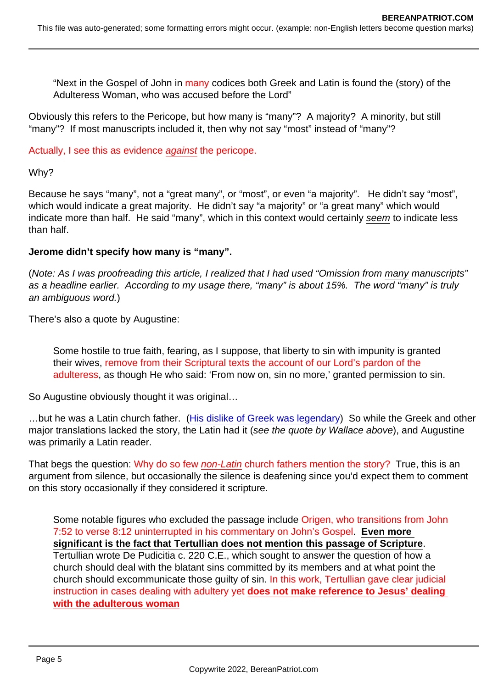"Next in the Gospel of John in many codices both Greek and Latin is found the (story) of the Adulteress Woman, who was accused before the Lord"

Obviously this refers to the Pericope, but how many is "many"? A majority? A minority, but still "many"? If most manuscripts included it, then why not say "most" instead of "many"?

Actually, I see this as evidence against the pericope.

Why?

Because he says "many", not a "great many", or "most", or even "a majority". He didn't say "most", which would indicate a great majority. He didn't say "a majority" or "a great many" which would indicate more than half. He said "many", which in this context would certainly seem to indicate less than half.

Jerome didn't specify how many is "many".

(Note: As I was proofreading this article, I realized that I had used "Omission from many manuscripts" as a headline earlier. According to my usage there, "many" is about 15%. The word "many" is truly an ambiguous word.)

There's also a quote by Augustine:

Some hostile to true faith, fearing, as I suppose, that liberty to sin with impunity is granted their wives, remove from their Scriptural texts the account of our Lord's pardon of the adulteress, as though He who said: 'From now on, sin no more,' granted permission to sin.

So Augustine obviously thought it was original…

...but he was a Latin church father. ([His dislike of Greek was legendary\)](http://augnet.org/en/life-of-augustine/augustine-in-general/1311-greek-language/) So while the Greek and other major translations lacked the story, the Latin had it (see the quote by Wallace above), and Augustine was primarily a Latin reader.

That begs the question: Why do so few non-Latin church fathers mention the story? True, this is an argument from silence, but occasionally the silence is deafening since you'd expect them to comment on this story occasionally if they considered it scripture.

Some notable figures who excluded the passage include Origen, who transitions from John 7:52 to verse 8:12 uninterrupted in his commentary on John's Gospel. Even more significant is the fact that Tertullian does not mention this passage of Scripture Tertullian wrote De Pudicitia c. 220 C.E., which sought to answer the question of how a church should deal with the blatant sins committed by its members and at what point the church should excommunicate those guilty of sin. In this work, Tertullian gave clear judicial instruction in cases dealing with adultery yet does not make reference to Jesus' dealing with the adulterous woman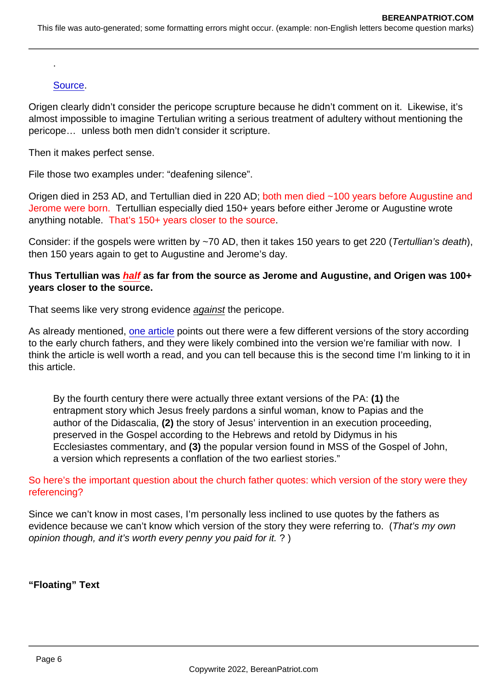## [Source](https://caffeinatedtheologian.wordpress.com/2015/01/17/on-the-inspiration-of-the-pericope-adulterae/).

.

Origen clearly didn't consider the pericope scrupture because he didn't comment on it. Likewise, it's almost impossible to imagine Tertulian writing a serious treatment of adultery without mentioning the pericope… unless both men didn't consider it scripture.

Then it makes perfect sense.

File those two examples under: "deafening silence".

Origen died in 253 AD, and Tertullian died in 220 AD; both men died ~100 years before Augustine and Jerome were born. Tertullian especially died 150+ years before either Jerome or Augustine wrote anything notable. That's 150+ years closer to the source.

Consider: if the gospels were written by ~70 AD, then it takes 150 years to get 220 (Tertullian's death), then 150 years again to get to Augustine and Jerome's day.

Thus Tertullian was half as far from the source as Jerome and Augustine, and Origen was 100+ years closer to the source.

That seems like very strong evidence against the pericope.

As already mentioned, [one article](https://citylightseattle.com/blog/did-john-write-the-story-of-the-woman-caught-in-adultery/) points out there were a few different versions of the story according to the early church fathers, and they were likely combined into the version we're familiar with now. I think the article is well worth a read, and you can tell because this is the second time I'm linking to it in this article.

By the fourth century there were actually three extant versions of the PA: (1) the entrapment story which Jesus freely pardons a sinful woman, know to Papias and the author of the Didascalia, (2) the story of Jesus' intervention in an execution proceeding, preserved in the Gospel according to the Hebrews and retold by Didymus in his Ecclesiastes commentary, and (3) the popular version found in MSS of the Gospel of John, a version which represents a conflation of the two earliest stories."

## So here's the important question about the church father quotes: which version of the story were they referencing?

Since we can't know in most cases, I'm personally less inclined to use quotes by the fathers as evidence because we can't know which version of the story they were referring to. (That's my own opinion though, and it's worth every penny you paid for it. ? )

"Floating" Text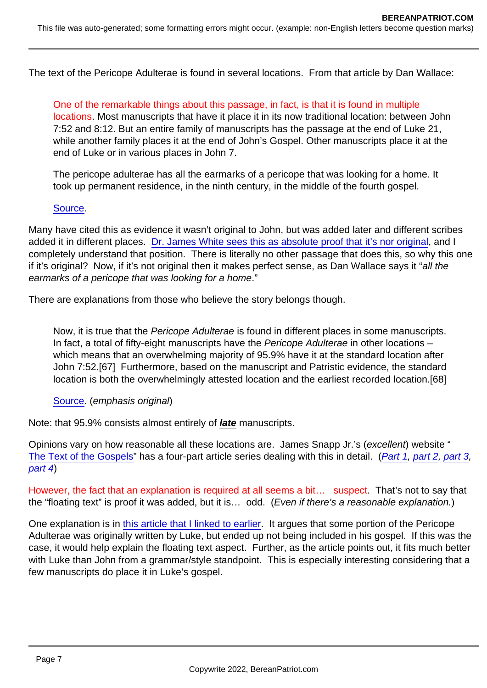The text of the Pericope Adulterae is found in several locations. From that article by Dan Wallace:

One of the remarkable things about this passage, in fact, is that it is found in multiple locations. Most manuscripts that have it place it in its now traditional location: between John 7:52 and 8:12. But an entire family of manuscripts has the passage at the end of Luke 21, while another family places it at the end of John's Gospel. Other manuscripts place it at the end of Luke or in various places in John 7.

The pericope adulterae has all the earmarks of a pericope that was looking for a home. It took up permanent residence, in the ninth century, in the middle of the fourth gospel.

## [Source](https://bible.org/article/my-favorite-passage-thats-not-bible).

Many have cited this as evidence it wasn't original to John, but was added later and different scribes added it in different places. [Dr. James White sees this as absolute proof that it's nor original,](https://www.youtube.com/watch?v=p796PhsXr1c) and I completely understand that position. There is literally no other passage that does this, so why this one if it's original? Now, if it's not original then it makes perfect sense, as Dan Wallace says it "all the earmarks of a pericope that was looking for a home."

There are explanations from those who believe the story belongs though.

Now, it is true that the Pericope Adulterae is found in different places in some manuscripts. In fact, a total of fifty-eight manuscripts have the Pericope Adulterae in other locations – which means that an overwhelming majority of 95.9% have it at the standard location after John 7:52.[67] Furthermore, based on the manuscript and Patristic evidence, the standard location is both the overwhelmingly attested location and the earliest recorded location.[68]

[Source](https://truthinmydays.com/a-call-for-serious-evangelical-apologetics-the-authenticity-of-john-753-811-as-a-case-study/#The_Greek_Manuscripts). (emphasis original)

Note: that 95.9% consists almost entirely of late manuscripts.

Opinions vary on how reasonable all these locations are. James Snapp Jr.'s (excellent) website " [The Text of the Gospels](https://www.thetextofthegospels.com/)" has a four-part article series dealing with this in detail. ([Part 1,](https://www.thetextofthegospels.com/2017/01/john-753-811-why-it-was-moved-part-1.html) [part 2,](https://www.thetextofthegospels.com/2017/01/john-753-811-why-it-was-moved-part-2.html) [part 3](https://www.thetextofthegospels.com/2017/01/john-753-811-why-it-was-moved-part-3.html), [part 4\)](https://www.thetextofthegospels.com/2017/02/john-753-811-why-it-was-moved-part-4.html)

However, the fact that an explanation is required at all seems a bit... suspect. That's not to say that the "floating text" is proof it was added, but it is… odd. (Even if there's a reasonable explanation.)

One explanation is in [this article that I linked to earlier](https://citylightseattle.com/blog/did-john-write-the-story-of-the-woman-caught-in-adultery/). It argues that some portion of the Pericope Adulterae was originally written by Luke, but ended up not being included in his gospel. If this was the case, it would help explain the floating text aspect. Further, as the article points out, it fits much better with Luke than John from a grammar/style standpoint. This is especially interesting considering that a few manuscripts do place it in Luke's gospel.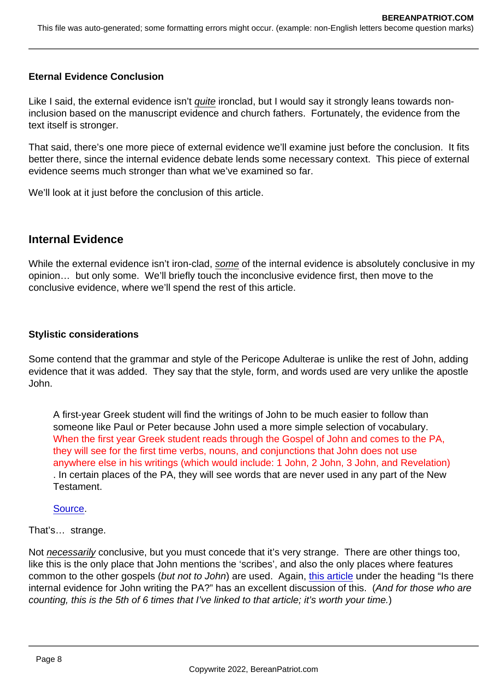## Eternal Evidence Conclusion

Like I said, the external evidence isn't quite ironclad, but I would say it strongly leans towards noninclusion based on the manuscript evidence and church fathers. Fortunately, the evidence from the text itself is stronger.

That said, there's one more piece of external evidence we'll examine just before the conclusion. It fits better there, since the internal evidence debate lends some necessary context. This piece of external evidence seems much stronger than what we've examined so far.

We'll look at it just before the conclusion of this article.

## Internal Evidence

While the external evidence isn't iron-clad, some of the internal evidence is absolutely conclusive in my opinion… but only some. We'll briefly touch the inconclusive evidence first, then move to the conclusive evidence, where we'll spend the rest of this article.

## Stylistic considerations

Some contend that the grammar and style of the Pericope Adulterae is unlike the rest of John, adding evidence that it was added. They say that the style, form, and words used are very unlike the apostle John.

A first-year Greek student will find the writings of John to be much easier to follow than someone like Paul or Peter because John used a more simple selection of vocabulary. When the first year Greek student reads through the Gospel of John and comes to the PA, they will see for the first time verbs, nouns, and conjunctions that John does not use anywhere else in his writings (which would include: 1 John, 2 John, 3 John, and Revelation) . In certain places of the PA, they will see words that are never used in any part of the New Testament.

## [Source](https://citylightseattle.com/blog/did-john-write-the-story-of-the-woman-caught-in-adultery/).

## That's… strange.

Not necessarily conclusive, but you must concede that it's very strange. There are other things too, like this is the only place that John mentions the 'scribes', and also the only places where features common to the other gospels (but not to John) are used. Again, [this article](https://citylightseattle.com/blog/did-john-write-the-story-of-the-woman-caught-in-adultery/) under the heading "Is there internal evidence for John writing the PA?" has an excellent discussion of this. (And for those who are counting, this is the 5th of 6 times that I've linked to that article; it's worth your time.)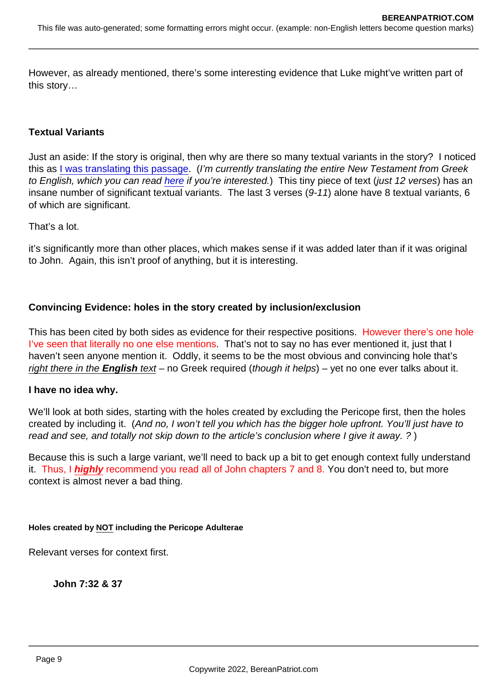However, as already mentioned, there's some interesting evidence that Luke might've written part of this story…

## Textual Variants

Just an aside: If the story is original, then why are there so many textual variants in the story? I noticed this as [I was translating this passage](https://www.bosbible.com/the-story-of-the-woman-caught-in-adultery-pericope-adulterae/). (I'm currently translating the entire New Testament from Greek to English, which you can read [here](https://www.bosbible.com/read/) if you're interested.) This tiny piece of text (just 12 verses) has an insane number of significant textual variants. The last 3 verses (9-11) alone have 8 textual variants, 6 of which are significant.

That's a lot.

it's significantly more than other places, which makes sense if it was added later than if it was original to John. Again, this isn't proof of anything, but it is interesting.

Convincing Evidence: holes in the story created by inclusion/exclusion

This has been cited by both sides as evidence for their respective positions. However there's one hole I've seen that literally no one else mentions. That's not to say no has ever mentioned it, just that I haven't seen anyone mention it. Oddly, it seems to be the most obvious and convincing hole that's right there in the English text – no Greek required (though it helps) – yet no one ever talks about it.

I have no idea why.

We'll look at both sides, starting with the holes created by excluding the Pericope first, then the holes created by including it. (And no, I won't tell you which has the bigger hole upfront. You'll just have to read and see, and totally not skip down to the article's conclusion where I give it away. ?)

Because this is such a large variant, we'll need to back up a bit to get enough context fully understand it. Thus, I highly recommend you read all of John chapters 7 and 8. You don't need to, but more context is almost never a bad thing.

Holes created by NOT including the Pericope Adulterae

Relevant verses for context first.

John 7:32 & 37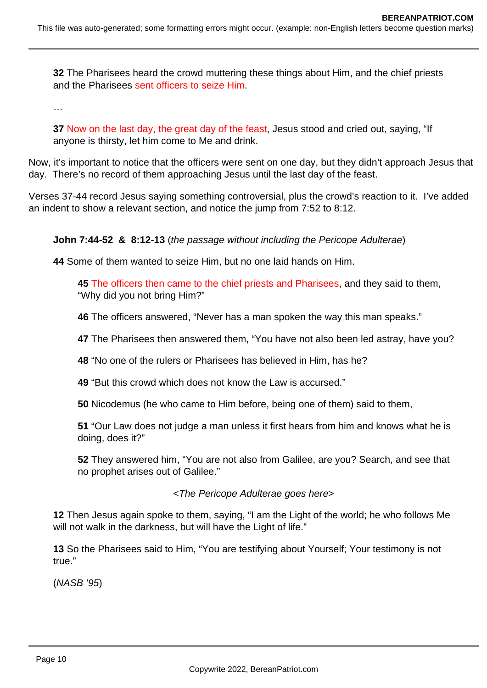**32** The Pharisees heard the crowd muttering these things about Him, and the chief priests and the Pharisees sent officers to seize Him.

…

**37** Now on the last day, the great day of the feast, Jesus stood and cried out, saying, "If anyone is thirsty, let him come to Me and drink.

Now, it's important to notice that the officers were sent on one day, but they didn't approach Jesus that day. There's no record of them approaching Jesus until the last day of the feast.

Verses 37-44 record Jesus saying something controversial, plus the crowd's reaction to it. I've added an indent to show a relevant section, and notice the jump from 7:52 to 8:12.

## **John 7:44-52 & 8:12-13** (the passage without including the Pericope Adulterae)

**44** Some of them wanted to seize Him, but no one laid hands on Him.

**45** The officers then came to the chief priests and Pharisees, and they said to them, "Why did you not bring Him?"

**46** The officers answered, "Never has a man spoken the way this man speaks."

**47** The Pharisees then answered them, "You have not also been led astray, have you?

**48** "No one of the rulers or Pharisees has believed in Him, has he?

**49** "But this crowd which does not know the Law is accursed."

**50** Nicodemus (he who came to Him before, being one of them) said to them,

**51** "Our Law does not judge a man unless it first hears from him and knows what he is doing, does it?"

**52** They answered him, "You are not also from Galilee, are you? Search, and see that no prophet arises out of Galilee."

<The Pericope Adulterae goes here>

**12** Then Jesus again spoke to them, saying, "I am the Light of the world; he who follows Me will not walk in the darkness, but will have the Light of life."

**13** So the Pharisees said to Him, "You are testifying about Yourself; Your testimony is not true."

(NASB '95)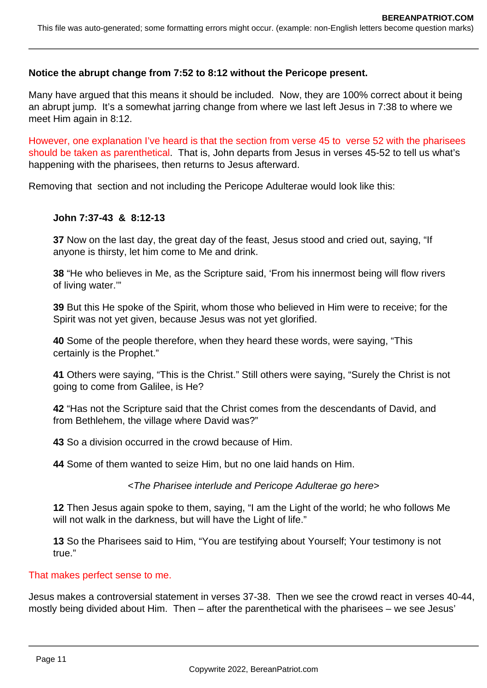## **Notice the abrupt change from 7:52 to 8:12 without the Pericope present.**

Many have argued that this means it should be included. Now, they are 100% correct about it being an abrupt jump. It's a somewhat jarring change from where we last left Jesus in 7:38 to where we meet Him again in 8:12.

However, one explanation I've heard is that the section from verse 45 to verse 52 with the pharisees should be taken as parenthetical. That is, John departs from Jesus in verses 45-52 to tell us what's happening with the pharisees, then returns to Jesus afterward.

Removing that section and not including the Pericope Adulterae would look like this:

## **John 7:37-43 & 8:12-13**

**37** Now on the last day, the great day of the feast, Jesus stood and cried out, saying, "If anyone is thirsty, let him come to Me and drink.

**38** "He who believes in Me, as the Scripture said, 'From his innermost being will flow rivers of living water.'"

**39** But this He spoke of the Spirit, whom those who believed in Him were to receive; for the Spirit was not yet given, because Jesus was not yet glorified.

**40** Some of the people therefore, when they heard these words, were saying, "This certainly is the Prophet."

**41** Others were saying, "This is the Christ." Still others were saying, "Surely the Christ is not going to come from Galilee, is He?

**42** "Has not the Scripture said that the Christ comes from the descendants of David, and from Bethlehem, the village where David was?"

**43** So a division occurred in the crowd because of Him.

**44** Some of them wanted to seize Him, but no one laid hands on Him.

<The Pharisee interlude and Pericope Adulterae go here>

**12** Then Jesus again spoke to them, saying, "I am the Light of the world; he who follows Me will not walk in the darkness, but will have the Light of life."

**13** So the Pharisees said to Him, "You are testifying about Yourself; Your testimony is not true."

## That makes perfect sense to me.

Jesus makes a controversial statement in verses 37-38. Then we see the crowd react in verses 40-44, mostly being divided about Him. Then – after the parenthetical with the pharisees – we see Jesus'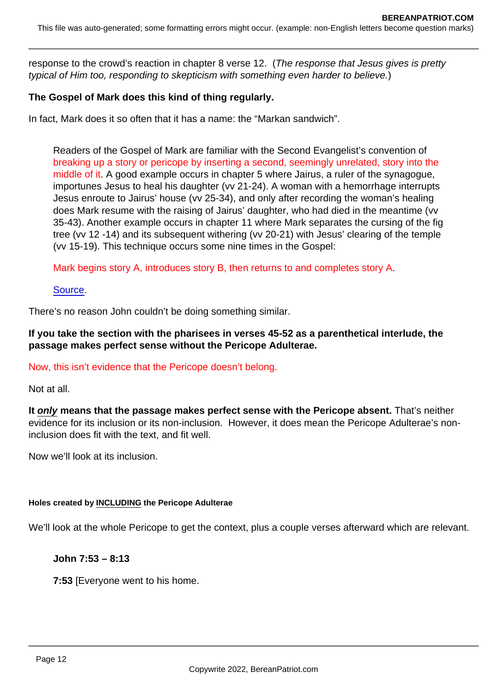response to the crowd's reaction in chapter 8 verse 12. (The response that Jesus gives is pretty typical of Him too, responding to skepticism with something even harder to believe.)

The Gospel of Mark does this kind of thing regularly.

In fact, Mark does it so often that it has a name: the "Markan sandwich".

Readers of the Gospel of Mark are familiar with the Second Evangelist's convention of breaking up a story or pericope by inserting a second, seemingly unrelated, story into the middle of it. A good example occurs in chapter 5 where Jairus, a ruler of the synagogue, importunes Jesus to heal his daughter (vv 21-24). A woman with a hemorrhage interrupts Jesus enroute to Jairus' house (vv 25-34), and only after recording the woman's healing does Mark resume with the raising of Jairus' daughter, who had died in the meantime (vv 35-43). Another example occurs in chapter 11 where Mark separates the cursing of the fig tree (vv 12 -14) and its subsequent withering (vv 20-21) with Jesus' clearing of the temple (vv 15-19). This technique occurs some nine times in the Gospel:

Mark begins story A, introduces story B, then returns to and completes story A.

[Source](https://www.bereanpatriot.com/wp-content/uploads/2021/06/Markan-Sandwiches-Edwards.pdf).

There's no reason John couldn't be doing something similar.

If you take the section with the pharisees in verses 45-52 as a parenthetical interlude, the passage makes perfect sense without the Pericope Adulterae.

## Now, this isn't evidence that the Pericope doesn't belong.

Not at all.

It only means that the passage makes perfect sense with the Pericope absent. That's neither evidence for its inclusion or its non-inclusion. However, it does mean the Pericope Adulterae's noninclusion does fit with the text, and fit well.

Now we'll look at its inclusion.

Holes created by INCLUDING the Pericope Adulterae

We'll look at the whole Pericope to get the context, plus a couple verses afterward which are relevant.

John 7:53 – 8:13

7:53 [Everyone went to his home.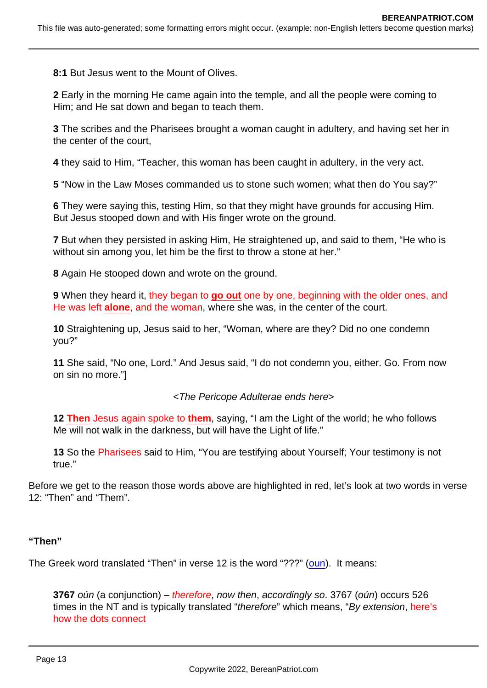8:1 But Jesus went to the Mount of Olives.

2 Early in the morning He came again into the temple, and all the people were coming to Him; and He sat down and began to teach them.

3 The scribes and the Pharisees brought a woman caught in adultery, and having set her in the center of the court,

4 they said to Him, "Teacher, this woman has been caught in adultery, in the very act.

5 "Now in the Law Moses commanded us to stone such women; what then do You say?"

6 They were saying this, testing Him, so that they might have grounds for accusing Him. But Jesus stooped down and with His finger wrote on the ground.

7 But when they persisted in asking Him, He straightened up, and said to them, "He who is without sin among you, let him be the first to throw a stone at her."

8 Again He stooped down and wrote on the ground.

9 When they heard it, they began to go out one by one, beginning with the older ones, and He was left alone , and the woman, where she was, in the center of the court.

10 Straightening up, Jesus said to her, "Woman, where are they? Did no one condemn you?"

11 She said, "No one, Lord." And Jesus said, "I do not condemn you, either. Go. From now on sin no more."]

<The Pericope Adulterae ends here>

12 Then Jesus again spoke to them , saying, "I am the Light of the world; he who follows Me will not walk in the darkness, but will have the Light of life."

13 So the Pharisees said to Him, "You are testifying about Yourself; Your testimony is not true."

Before we get to the reason those words above are highlighted in red, let's look at two words in verse 12: "Then" and "Them".

"Then"

The Greek word translated "Then" in verse 12 is the word "???" ([oun\)](https://biblehub.com/greek/3767.htm). It means:

3767 oún (a conjunction) – therefore, now then, accordingly so. 3767 (oún) occurs 526 times in the NT and is typically translated "therefore" which means, "By extension, here's how the dots connect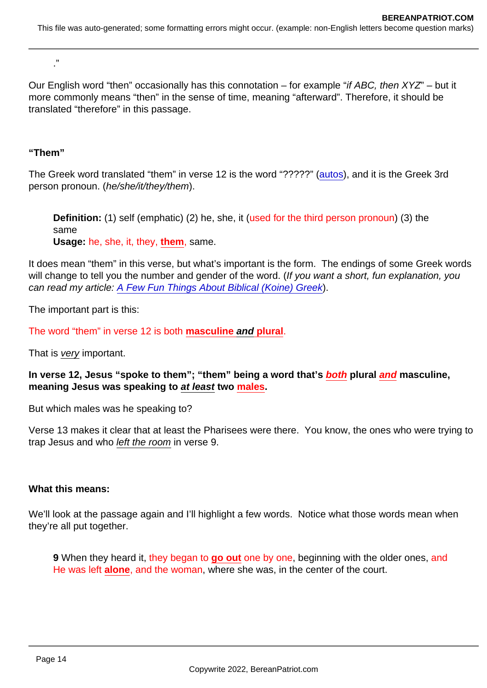."

Our English word "then" occasionally has this connotation – for example "if ABC, then XYZ" – but it more commonly means "then" in the sense of time, meaning "afterward". Therefore, it should be translated "therefore" in this passage.

"Them"

The Greek word translated "them" in verse 12 is the word "?????" [\(autos\)](https://biblehub.com/greek/846.htm), and it is the Greek 3rd person pronoun. (he/she/it/they/them).

Definition: (1) self (emphatic) (2) he, she, it (used for the third person pronoun) (3) the same Usage: he, she, it, they, them , same.

It does mean "them" in this verse, but what's important is the form. The endings of some Greek words will change to tell you the number and gender of the word. (If you want a short, fun explanation, you can read my article: [A Few Fun Things About Biblical \(Koine\) Greek](https://www.bereanpatriot.com/a-few-fun-things-about-biblical-koine-greek/)).

The important part is this:

The word "them" in verse 12 is both masculine and plural .

That is very important.

In verse 12, Jesus "spoke to them"; "them" being a word that's both plural and masculine, meaning Jesus was speaking to at least two males.

But which males was he speaking to?

Verse 13 makes it clear that at least the Pharisees were there. You know, the ones who were trying to trap Jesus and who left the room in verse 9.

What this means:

We'll look at the passage again and I'll highlight a few words. Notice what those words mean when they're all put together.

9 When they heard it, they began to go out one by one, beginning with the older ones, and He was left alone , and the woman, where she was, in the center of the court.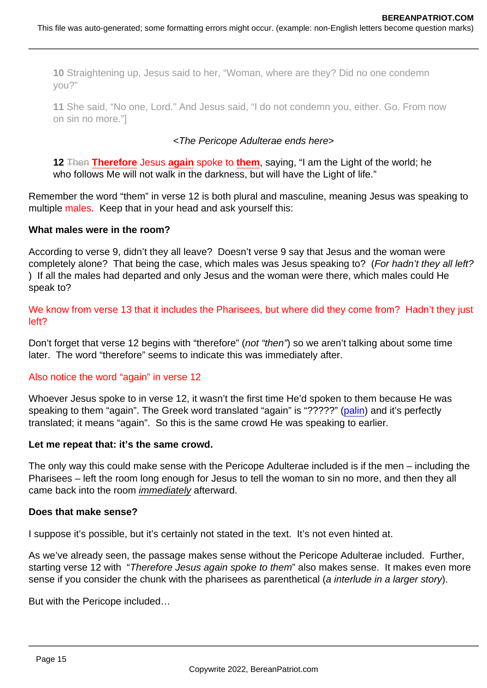10 Straightening up, Jesus said to her, "Woman, where are they? Did no one condemn you?"

11 She said, "No one, Lord." And Jesus said, "I do not condemn you, either. Go. From now on sin no more."]

## <The Pericope Adulterae ends here>

12 Then Therefore Jesus again spoke to them, saying, "I am the Light of the world; he who follows Me will not walk in the darkness, but will have the Light of life."

Remember the word "them" in verse 12 is both plural and masculine, meaning Jesus was speaking to multiple males. Keep that in your head and ask yourself this:

What males were in the room?

According to verse 9, didn't they all leave? Doesn't verse 9 say that Jesus and the woman were completely alone? That being the case, which males was Jesus speaking to? (For hadn't they all left? ) If all the males had departed and only Jesus and the woman were there, which males could He speak to?

We know from verse 13 that it includes the Pharisees, but where did they come from? Hadn't they just left?

Don't forget that verse 12 begins with "therefore" (not "then") so we aren't talking about some time later. The word "therefore" seems to indicate this was immediately after.

## Also notice the word "again" in verse 12

Whoever Jesus spoke to in verse 12, it wasn't the first time He'd spoken to them because He was speaking to them "again". The Greek word translated "again" is "?????" [\(palin\)](https://biblehub.com/greek/3825.htm) and it's perfectly translated; it means "again". So this is the same crowd He was speaking to earlier.

Let me repeat that: it's the same crowd.

The only way this could make sense with the Pericope Adulterae included is if the men – including the Pharisees – left the room long enough for Jesus to tell the woman to sin no more, and then they all came back into the room immediately afterward.

Does that make sense?

I suppose it's possible, but it's certainly not stated in the text. It's not even hinted at.

As we've already seen, the passage makes sense without the Pericope Adulterae included. Further, starting verse 12 with "Therefore Jesus again spoke to them" also makes sense. It makes even more sense if you consider the chunk with the pharisees as parenthetical (a interlude in a larger story).

But with the Pericope included…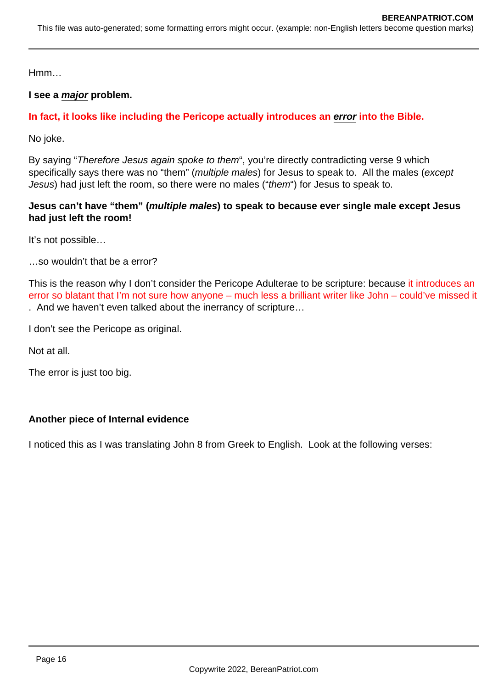Hmm…

## **I see a major problem.**

# **In fact, it looks like including the Pericope actually introduces an error into the Bible.**

No joke.

By saying "Therefore Jesus again spoke to them", you're directly contradicting verse 9 which specifically says there was no "them" (multiple males) for Jesus to speak to. All the males (except Jesus) had just left the room, so there were no males ("them") for Jesus to speak to.

## **Jesus can't have "them" (multiple males) to speak to because ever single male except Jesus had just left the room!**

It's not possible…

…so wouldn't that be a error?

This is the reason why I don't consider the Pericope Adulterae to be scripture: because it introduces an error so blatant that I'm not sure how anyone – much less a brilliant writer like John – could've missed it . And we haven't even talked about the inerrancy of scripture…

I don't see the Pericope as original.

Not at all.

The error is just too big.

## **Another piece of Internal evidence**

I noticed this as I was translating John 8 from Greek to English. Look at the following verses: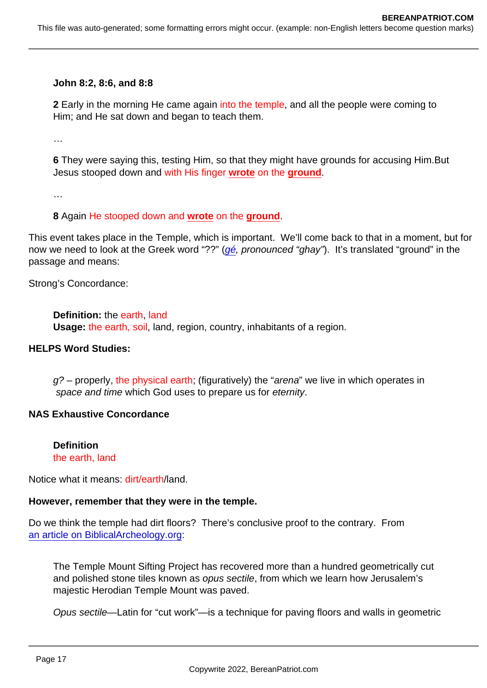John 8:2, 8:6, and 8:8

2 Early in the morning He came again into the temple, and all the people were coming to Him; and He sat down and began to teach them.

…

6 They were saying this, testing Him, so that they might have grounds for accusing Him.But Jesus stooped down and with His finger wrote on the ground .

…

8 Again He stooped down and wrote on the ground .

This event takes place in the Temple, which is important. We'll come back to that in a moment, but for now we need to look at the Greek word "??" [\(gé](https://biblehub.com/greek/1093.htm), pronounced "ghay"). It's translated "ground" in the passage and means:

Strong's Concordance:

Definition: the earth, land Usage: the earth, soil, land, region, country, inhabitants of a region.

HELPS Word Studies:

g? – properly, the physical earth; (figuratively) the "arena" we live in which operates in space and time which God uses to prepare us for eternity.

NAS Exhaustive Concordance

**Definition** the earth, land

Notice what it means: dirt/earth/land.

However, remember that they were in the temple.

Do we think the temple had dirt floors? There's conclusive proof to the contrary. From [an article on BiblicalArcheology.org](https://www.biblicalarchaeology.org/daily/biblical-sites-places/temple-at-jerusalem/what-the-temple-mount-floor-looked-like/):

The Temple Mount Sifting Project has recovered more than a hundred geometrically cut and polished stone tiles known as opus sectile, from which we learn how Jerusalem's majestic Herodian Temple Mount was paved.

Opus sectile—Latin for "cut work"—is a technique for paving floors and walls in geometric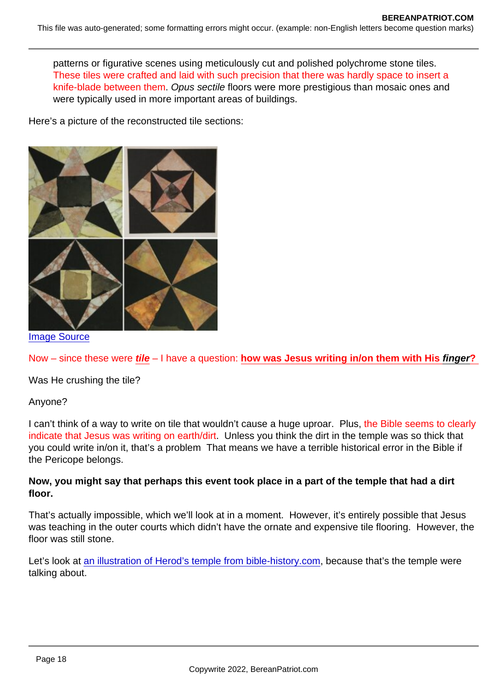patterns or figurative scenes using meticulously cut and polished polychrome stone tiles. These tiles were crafted and laid with such precision that there was hardly space to insert a knife-blade between them. Opus sectile floors were more prestigious than mosaic ones and were typically used in more important areas of buildings.

Here's a picture of the reconstructed tile sections:

## [Image Source](https://archaeologynewsnetwork.blogspot.com/2016/09/floor-tiles-from-second-temple.html)

Now – since these were tile – I have a question: how was Jesus writing in/on them with His finger ?

Was He crushing the tile?

## Anyone?

I can't think of a way to write on tile that wouldn't cause a huge uproar. Plus, the Bible seems to clearly indicate that Jesus was writing on earth/dirt. Unless you think the dirt in the temple was so thick that you could write in/on it, that's a problem That means we have a terrible historical error in the Bible if the Pericope belongs.

Now, you might say that perhaps this event took place in a part of the temple that had a dirt floor.

That's actually impossible, which we'll look at in a moment. However, it's entirely possible that Jesus was teaching in the outer courts which didn't have the ornate and expensive tile flooring. However, the floor was still stone.

Let's look at [an illustration of Herod's temple from bible-history.com,](https://www.bible-history.com/jewishtemple/jewish_templeherods_temple_illustration.htm) because that's the temple were talking about.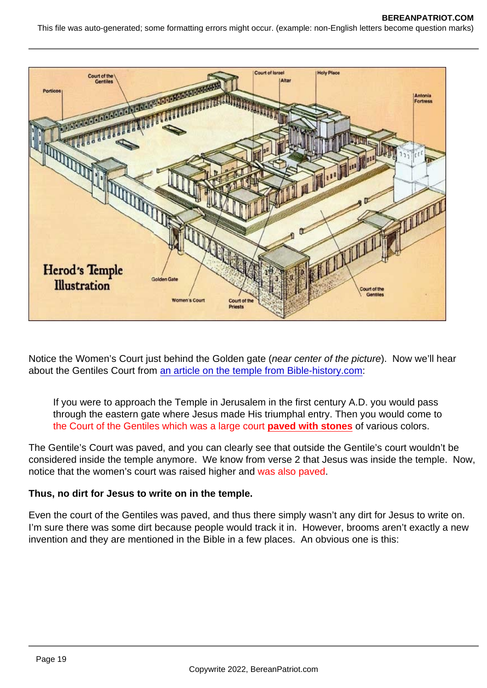Notice the Women's Court just behind the Golden gate (near center of the picture). Now we'll hear about the Gentiles Court from [an article on the temple from Bible-history.com](https://www.bible-history.com/court-of-women/):

If you were to approach the Temple in Jerusalem in the first century A.D. you would pass through the eastern gate where Jesus made His triumphal entry. Then you would come to the Court of the Gentiles which was a large court paved with stones of various colors.

The Gentile's Court was paved, and you can clearly see that outside the Gentile's court wouldn't be considered inside the temple anymore. We know from verse 2 that Jesus was inside the temple. Now, notice that the women's court was raised higher and was also paved.

Thus, no dirt for Jesus to write on in the temple.

Even the court of the Gentiles was paved, and thus there simply wasn't any dirt for Jesus to write on. I'm sure there was some dirt because people would track it in. However, brooms aren't exactly a new invention and they are mentioned in the Bible in a few places. An obvious one is this: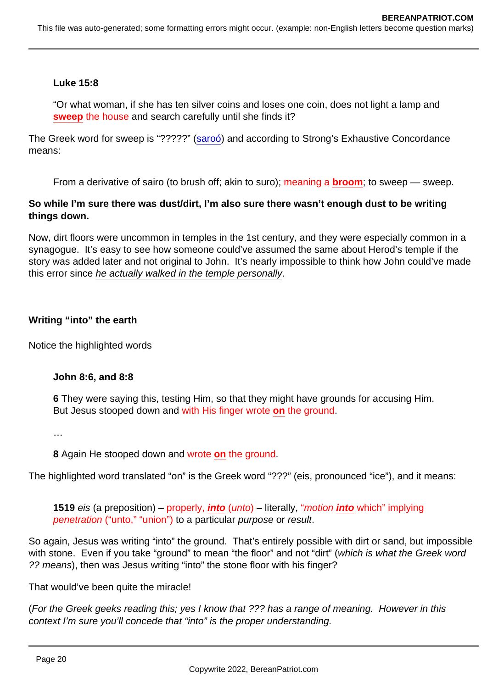Luke 15:8

"Or what woman, if she has ten silver coins and loses one coin, does not light a lamp and sweep the house and search carefully until she finds it?

The Greek word for sweep is "?????" [\(saroó](https://biblehub.com/greek/4563.htm)) and according to Strong's Exhaustive Concordance means:

From a derivative of sairo (to brush off; akin to suro); meaning a broom; to sweep — sweep.

So while I'm sure there was dust/dirt, I'm also sure there wasn't enough dust to be writing things down.

Now, dirt floors were uncommon in temples in the 1st century, and they were especially common in a synagogue. It's easy to see how someone could've assumed the same about Herod's temple if the story was added later and not original to John. It's nearly impossible to think how John could've made this error since he actually walked in the temple personally.

Writing "into" the earth

Notice the highlighted words

John 8:6, and 8:8

6 They were saying this, testing Him, so that they might have grounds for accusing Him. But Jesus stooped down and with His finger wrote on the ground.

…

8 Again He stooped down and wrote on the ground.

The highlighted word translated "on" is the Greek word "???" (eis, pronounced "ice"), and it means:

1519 eis (a preposition) – properly, into (unto) – literally, "motion into which" implying penetration ("unto," "union") to a particular purpose or result.

So again, Jesus was writing "into" the ground. That's entirely possible with dirt or sand, but impossible with stone. Even if you take "ground" to mean "the floor" and not "dirt" (which is what the Greek word ?? means), then was Jesus writing "into" the stone floor with his finger?

That would've been quite the miracle!

(For the Greek geeks reading this; yes I know that ??? has a range of meaning. However in this context I'm sure you'll concede that "into" is the proper understanding.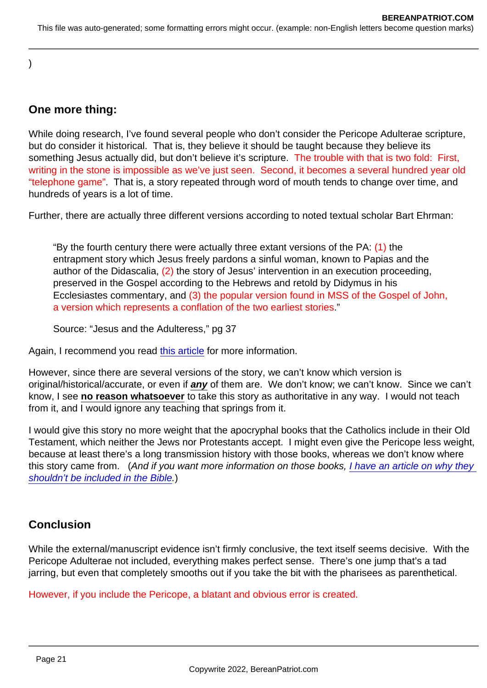)

# One more thing:

While doing research, I've found several people who don't consider the Pericope Adulterae scripture, but do consider it historical. That is, they believe it should be taught because they believe its something Jesus actually did, but don't believe it's scripture. The trouble with that is two fold: First, writing in the stone is impossible as we've just seen. Second, it becomes a several hundred year old "telephone game". That is, a story repeated through word of mouth tends to change over time, and hundreds of years is a lot of time.

Further, there are actually three different versions according to noted textual scholar Bart Ehrman:

"By the fourth century there were actually three extant versions of the PA:  $(1)$  the entrapment story which Jesus freely pardons a sinful woman, known to Papias and the author of the Didascalia, (2) the story of Jesus' intervention in an execution proceeding, preserved in the Gospel according to the Hebrews and retold by Didymus in his Ecclesiastes commentary, and (3) the popular version found in MSS of the Gospel of John, a version which represents a conflation of the two earliest stories."

Source: "Jesus and the Adulteress," pg 37

Again, I recommend you read [this article](https://citylightseattle.com/blog/did-john-write-the-story-of-the-woman-caught-in-adultery/) for more information.

However, since there are several versions of the story, we can't know which version is original/historical/accurate, or even if any of them are. We don't know; we can't know. Since we can't know, I see no reason whatsoever to take this story as authoritative in any way. I would not teach from it, and I would ignore any teaching that springs from it.

I would give this story no more weight that the apocryphal books that the Catholics include in their Old Testament, which neither the Jews nor Protestants accept. I might even give the Pericope less weight, because at least there's a long transmission history with those books, whereas we don't know where this story came from. (And if you want more information on those books, [I have an article on why they](https://www.bereanpatriot.com/the-bible-66-books-vs-73-and-why-the-apocrypha-explained/)  [shouldn't be included in the Bible](https://www.bereanpatriot.com/the-bible-66-books-vs-73-and-why-the-apocrypha-explained/).)

# Conclusion

While the external/manuscript evidence isn't firmly conclusive, the text itself seems decisive. With the Pericope Adulterae not included, everything makes perfect sense. There's one jump that's a tad jarring, but even that completely smooths out if you take the bit with the pharisees as parenthetical.

However, if you include the Pericope, a blatant and obvious error is created.